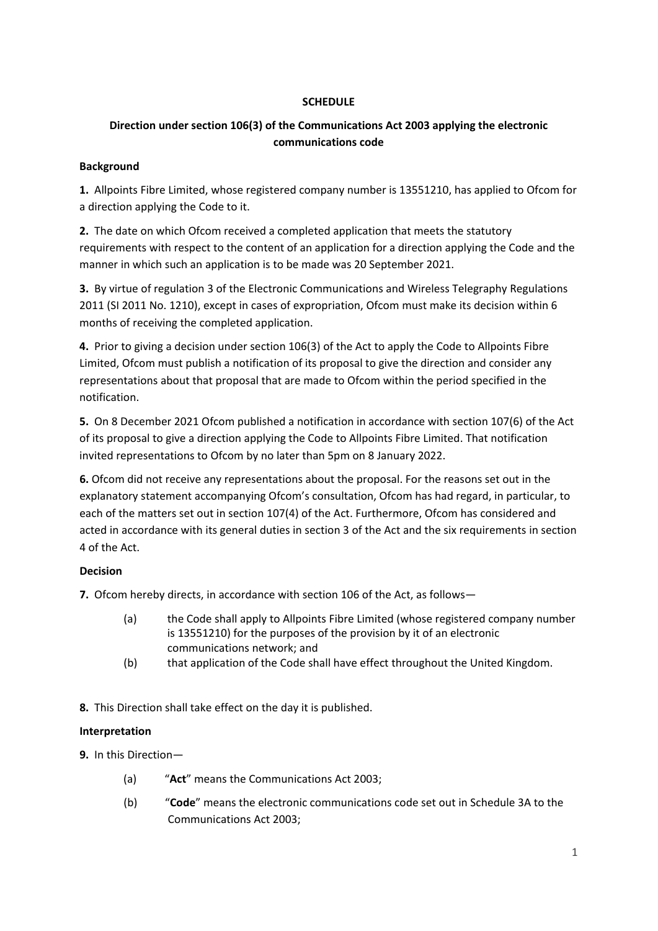## **SCHEDULE**

# **Direction under section 106(3) of the Communications Act 2003 applying the electronic communications code**

#### **Background**

**1.** Allpoints Fibre Limited, whose registered company number is 13551210, has applied to Ofcom for a direction applying the Code to it.

**2.** The date on which Ofcom received a completed application that meets the statutory requirements with respect to the content of an application for a direction applying the Code and the manner in which such an application is to be made was 20 September 2021.

**3.** By virtue of regulation 3 of the Electronic Communications and Wireless Telegraphy Regulations 2011 (SI 2011 No. 1210), except in cases of expropriation, Ofcom must make its decision within 6 months of receiving the completed application.

**4.** Prior to giving a decision under section 106(3) of the Act to apply the Code to Allpoints Fibre Limited, Ofcom must publish a notification of its proposal to give the direction and consider any representations about that proposal that are made to Ofcom within the period specified in the notification.

**5.** On 8 December 2021 Ofcom published a notification in accordance with section 107(6) of the Act of its proposal to give a direction applying the Code to Allpoints Fibre Limited. That notification invited representations to Ofcom by no later than 5pm on 8 January 2022.

**6.** Ofcom did not receive any representations about the proposal. For the reasons set out in the explanatory statement accompanying Ofcom's consultation, Ofcom has had regard, in particular, to each of the matters set out in section 107(4) of the Act. Furthermore, Ofcom has considered and acted in accordance with its general duties in section 3 of the Act and the six requirements in section 4 of the Act.

## **Decision**

**7.** Ofcom hereby directs, in accordance with section 106 of the Act, as follows—

- (a) the Code shall apply to Allpoints Fibre Limited (whose registered company number is 13551210) for the purposes of the provision by it of an electronic communications network; and
- (b) that application of the Code shall have effect throughout the United Kingdom.

**8.** This Direction shall take effect on the day it is published.

## **Interpretation**

**9.** In this Direction—

- (a) "**Act**" means the Communications Act 2003;
- (b) "**Code**" means the electronic communications code set out in Schedule 3A to the Communications Act 2003;